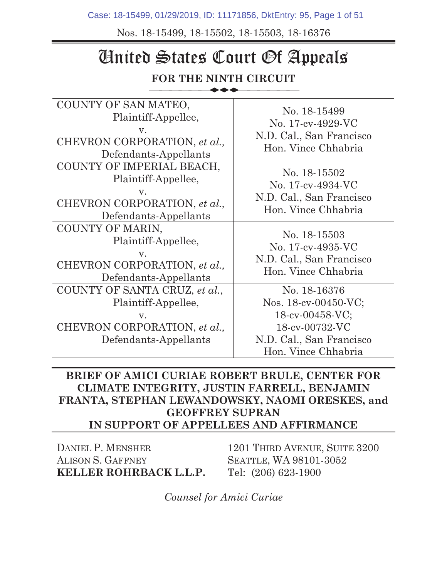Case: 18-15499, 01/29/2019, ID: 11171856, DktEntry: 95, Page 1 of 51

Nos. 18-15499, 18-15502, 18-15503, 18-16376

# United States Court Of Appeals

#### **FOR THE NINTH CIRCUIT**   $\overline{\phantom{a}}$

| COUNTY OF SAN MATEO,<br>Plaintiff-Appellee,<br>V.<br>CHEVRON CORPORATION, et al.,<br>Defendants-Appellants               | No. 18-15499<br>No. 17-cv-4929-VC<br>N.D. Cal., San Francisco<br>Hon. Vince Chhabria                                         |
|--------------------------------------------------------------------------------------------------------------------------|------------------------------------------------------------------------------------------------------------------------------|
| COUNTY OF IMPERIAL BEACH,<br>Plaintiff-Appellee,<br>$V_{\cdot}$<br>CHEVRON CORPORATION, et al.,<br>Defendants-Appellants | No. 18-15502<br>No. 17-cv-4934-VC<br>N.D. Cal., San Francisco<br>Hon. Vince Chhabria                                         |
| COUNTY OF MARIN,<br>Plaintiff-Appellee,<br>$V_{\rm A}$<br>CHEVRON CORPORATION, et al.,<br>Defendants-Appellants          | No. 18-15503<br>No. 17-cv-4935-VC<br>N.D. Cal., San Francisco<br>Hon. Vince Chhabria                                         |
| COUNTY OF SANTA CRUZ, et al.,<br>Plaintiff-Appellee,<br>V.<br>CHEVRON CORPORATION, et al.,<br>Defendants-Appellants      | No. 18-16376<br>Nos. 18-cv-00450-VC;<br>18-cv-00458-VC;<br>18-cv-00732-VC<br>N.D. Cal., San Francisco<br>Hon. Vince Chhabria |

#### **BRIEF OF AMICI CURIAE ROBERT BRULE, CENTER FOR CLIMATE INTEGRITY, JUSTIN FARRELL, BENJAMIN FRANTA, STEPHAN LEWANDOWSKY, NAOMI ORESKES, and GEOFFREY SUPRAN IN SUPPORT OF APPELLEES AND AFFIRMANCE**

DANIEL P. MENSHER ALISON S. GAFFNEY **KELLER ROHRBACK L.L.P.**

1201 THIRD AVENUE, SUITE 3200 SEATTLE, WA 98101-3052 Tel: (206) 623-1900

*Counsel for Amici Curiae*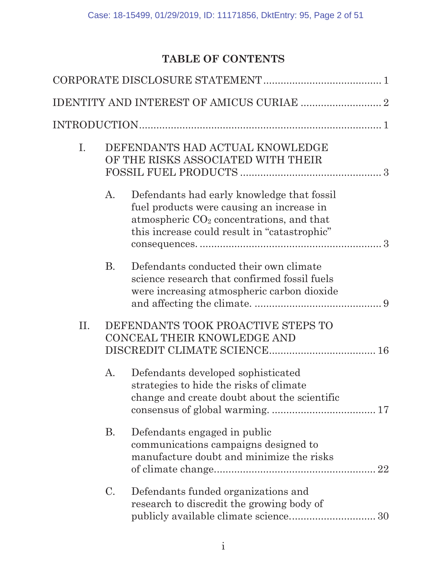# **TABLE OF CONTENTS**

| Ι.  |           | DEFENDANTS HAD ACTUAL KNOWLEDGE<br>OF THE RISKS ASSOCIATED WITH THEIR                                                                                                                 |  |
|-----|-----------|---------------------------------------------------------------------------------------------------------------------------------------------------------------------------------------|--|
|     | A.        | Defendants had early knowledge that fossil<br>fuel products were causing an increase in<br>atmospheric $CO2$ concentrations, and that<br>this increase could result in "catastrophic" |  |
|     | <b>B.</b> | Defendants conducted their own climate<br>science research that confirmed fossil fuels<br>were increasing atmospheric carbon dioxide                                                  |  |
| II. |           | DEFENDANTS TOOK PROACTIVE STEPS TO<br>CONCEAL THEIR KNOWLEDGE AND                                                                                                                     |  |
|     | A.        | Defendants developed sophisticated<br>strategies to hide the risks of climate<br>change and create doubt about the scientific                                                         |  |
|     | <b>B.</b> | Defendants engaged in public<br>communications campaigns designed to<br>manufacture doubt and minimize the risks                                                                      |  |
|     | C.        | Defendants funded organizations and<br>research to discredit the growing body of                                                                                                      |  |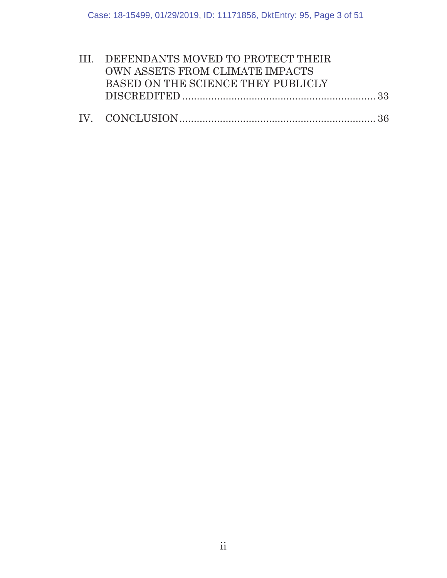| III. DEFENDANTS MOVED TO PROTECT THEIR |  |
|----------------------------------------|--|
| OWN ASSETS FROM CLIMATE IMPACTS        |  |
| BASED ON THE SCIENCE THEY PUBLICLY     |  |
|                                        |  |
|                                        |  |
|                                        |  |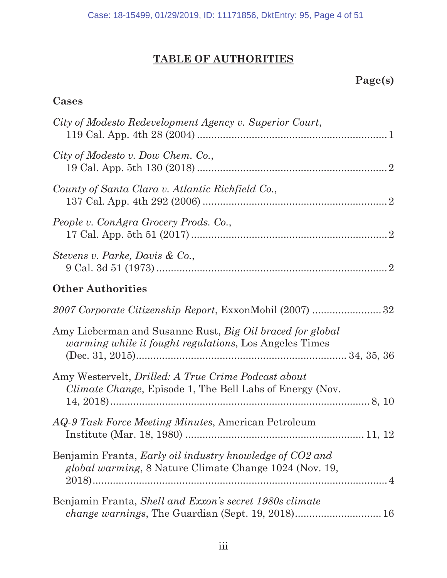# **TABLE OF AUTHORITIES**

# **Page(s)**

# **Cases**

| City of Modesto Redevelopment Agency v. Superior Court,                                                                     |
|-----------------------------------------------------------------------------------------------------------------------------|
| City of Modesto v. Dow Chem. Co.,                                                                                           |
| County of Santa Clara v. Atlantic Richfield Co.,                                                                            |
| People v. ConAgra Grocery Prods. Co.,                                                                                       |
| Stevens v. Parke, Davis & Co.,                                                                                              |
| <b>Other Authorities</b>                                                                                                    |
| 2007 Corporate Citizenship Report, ExxonMobil (2007) 32                                                                     |
| Amy Lieberman and Susanne Rust, Big Oil braced for global<br><i>warming while it fought regulations</i> , Los Angeles Times |
| Amy Westervelt, <i>Drilled: A True Crime Podcast about</i><br>Climate Change, Episode 1, The Bell Labs of Energy (Nov.      |
| <i>AQ-9 Task Force Meeting Minutes, American Petroleum</i>                                                                  |
| Benjamin Franta, <i>Early oil industry knowledge of CO2 and</i><br>global warming, 8 Nature Climate Change 1024 (Nov. 19,   |
| Benjamin Franta, Shell and Exxon's secret 1980s climate                                                                     |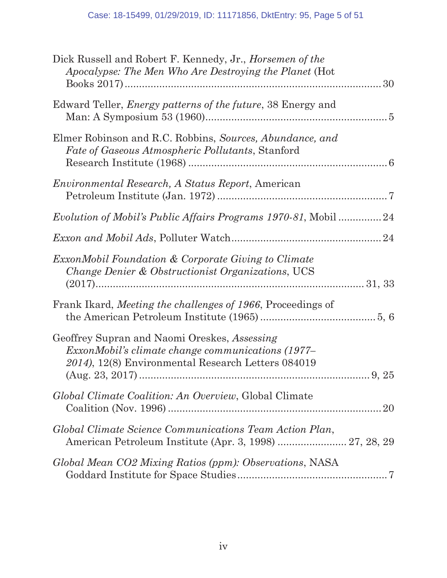| Dick Russell and Robert F. Kennedy, Jr., <i>Horsemen of the</i><br>Apocalypse: The Men Who Are Destroying the Planet (Hot                                      |
|----------------------------------------------------------------------------------------------------------------------------------------------------------------|
| Edward Teller, <i>Energy patterns of the future</i> , 38 Energy and                                                                                            |
| Elmer Robinson and R.C. Robbins, Sources, Abundance, and<br><i>Fate of Gaseous Atmospheric Pollutants, Stanford</i>                                            |
| Environmental Research, A Status Report, American                                                                                                              |
| Evolution of Mobil's Public Affairs Programs 1970-81, Mobil 24                                                                                                 |
|                                                                                                                                                                |
| <i>ExxonMobil Foundation &amp; Corporate Giving to Climate</i><br>Change Denier & Obstructionist Organizations, UCS                                            |
| Frank Ikard, Meeting the challenges of 1966, Proceedings of                                                                                                    |
| Geoffrey Supran and Naomi Oreskes, Assessing<br><i>ExxonMobil's climate change communications (1977–</i><br>2014), 12(8) Environmental Research Letters 084019 |
| Global Climate Coalition: An Overview, Global Climate                                                                                                          |
| Global Climate Science Communications Team Action Plan,<br>American Petroleum Institute (Apr. 3, 1998)  27, 28, 29                                             |
| Global Mean CO2 Mixing Ratios (ppm): Observations, NASA                                                                                                        |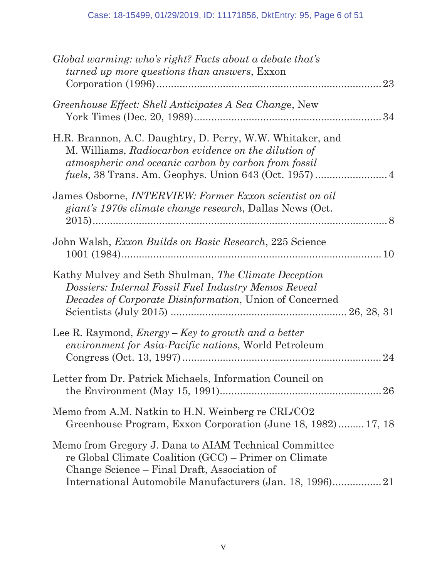| Global warming: who's right? Facts about a debate that's<br><i>turned up more questions than answers, Exxon</i><br>23                                                           |
|---------------------------------------------------------------------------------------------------------------------------------------------------------------------------------|
| Greenhouse Effect: Shell Anticipates A Sea Change, New                                                                                                                          |
| H.R. Brannon, A.C. Daughtry, D. Perry, W.W. Whitaker, and<br>M. Williams, Radiocarbon evidence on the dilution of<br>atmospheric and oceanic carbon by carbon from fossil       |
| James Osborne, <i>INTERVIEW</i> : Former Exxon scientist on oil<br>giant's 1970s climate change research, Dallas News (Oct.                                                     |
| John Walsh, <i>Exxon Builds on Basic Research</i> , 225 Science                                                                                                                 |
| Kathy Mulvey and Seth Shulman, The Climate Deception<br>Dossiers: Internal Fossil Fuel Industry Memos Reveal<br><i>Decades of Corporate Disinformation</i> , Union of Concerned |
| Lee R. Raymond, $Energy - Key$ to growth and a better<br><i>environment for Asia-Pacific nations</i> , World Petroleum<br>24                                                    |
| Letter from Dr. Patrick Michaels, Information Council on                                                                                                                        |
| Memo from A.M. Natkin to H.N. Weinberg re CRL/CO2<br>Greenhouse Program, Exxon Corporation (June 18, 1982) 17, 18                                                               |
| Memo from Gregory J. Dana to AIAM Technical Committee<br>re Global Climate Coalition (GCC) – Primer on Climate<br>Change Science – Final Draft, Association of                  |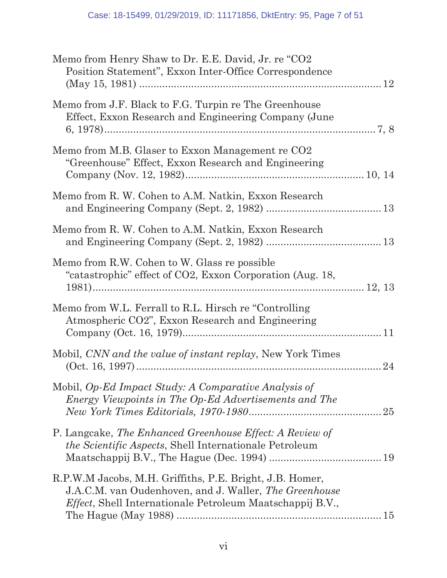| Memo from Henry Shaw to Dr. E.E. David, Jr. re "CO2<br>Position Statement", Exxon Inter-Office Correspondence                                                                           |
|-----------------------------------------------------------------------------------------------------------------------------------------------------------------------------------------|
| Memo from J.F. Black to F.G. Turpin re The Greenhouse<br>Effect, Exxon Research and Engineering Company (June                                                                           |
| Memo from M.B. Glaser to Exxon Management re CO2<br>"Greenhouse" Effect, Exxon Research and Engineering                                                                                 |
| Memo from R. W. Cohen to A.M. Natkin, Exxon Research                                                                                                                                    |
| Memo from R. W. Cohen to A.M. Natkin, Exxon Research                                                                                                                                    |
| Memo from R.W. Cohen to W. Glass re possible<br>"catastrophic" effect of CO2, Exxon Corporation (Aug. 18,                                                                               |
| Memo from W.L. Ferrall to R.L. Hirsch re "Controlling"<br>Atmospheric CO2", Exxon Research and Engineering                                                                              |
| Mobil, CNN and the value of instant replay, New York Times                                                                                                                              |
| Mobil, Op-Ed Impact Study: A Comparative Analysis of<br>Energy Viewpoints in The Op-Ed Advertisements and The<br>25                                                                     |
| P. Langcake, The Enhanced Greenhouse Effect: A Review of<br>the Scientific Aspects, Shell Internationale Petroleum                                                                      |
| R.P.W.M Jacobs, M.H. Griffiths, P.E. Bright, J.B. Homer,<br>J.A.C.M. van Oudenhoven, and J. Waller, The Greenhouse<br><i>Effect</i> , Shell Internationale Petroleum Maatschappij B.V., |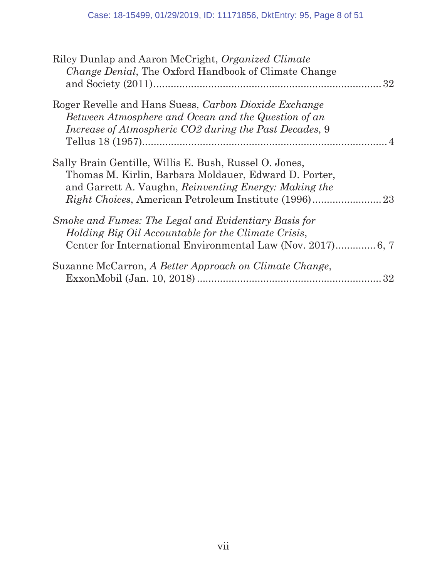| Riley Dunlap and Aaron McCright, Organized Climate<br><i>Change Denial</i> , The Oxford Handbook of Climate Change<br>32                                                 |
|--------------------------------------------------------------------------------------------------------------------------------------------------------------------------|
| Roger Revelle and Hans Suess, Carbon Dioxide Exchange<br>Between Atmosphere and Ocean and the Question of an                                                             |
| Increase of Atmospheric CO2 during the Past Decades, 9                                                                                                                   |
| Sally Brain Gentille, Willis E. Bush, Russel O. Jones,<br>Thomas M. Kirlin, Barbara Moldauer, Edward D. Porter,<br>and Garrett A. Vaughn, Reinventing Energy: Making the |
| Smoke and Fumes: The Legal and Evidentiary Basis for<br>Holding Big Oil Accountable for the Climate Crisis,                                                              |
| Suzanne McCarron, A Better Approach on Climate Change,<br>32                                                                                                             |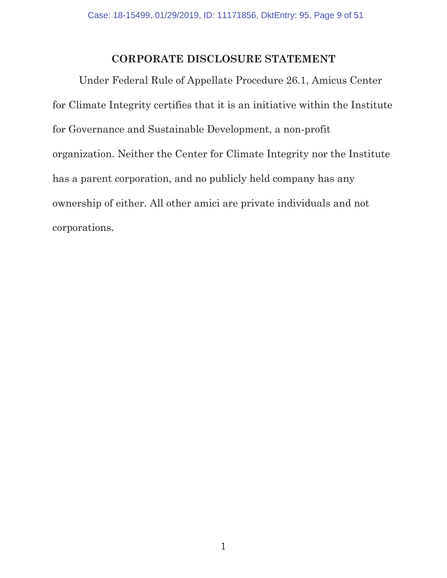#### **CORPORATE DISCLOSURE STATEMENT**

Under Federal Rule of Appellate Procedure 26.1, Amicus Center for Climate Integrity certifies that it is an initiative within the Institute for Governance and Sustainable Development, a non-profit organization. Neither the Center for Climate Integrity nor the Institute has a parent corporation, and no publicly held company has any ownership of either. All other amici are private individuals and not corporations.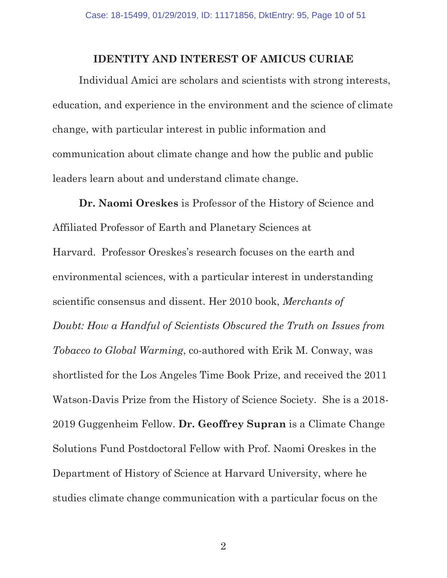#### **IDENTITY AND INTEREST OF AMICUS CURIAE**

Individual Amici are scholars and scientists with strong interests, education, and experience in the environment and the science of climate change, with particular interest in public information and communication about climate change and how the public and public leaders learn about and understand climate change.

**Dr. Naomi Oreskes** is Professor of the History of Science and Affiliated Professor of Earth and Planetary Sciences at Harvard. Professor Oreskes's research focuses on the earth and environmental sciences, with a particular interest in understanding scientific consensus and dissent. Her 2010 book, *Merchants of Doubt: How a Handful of Scientists Obscured the Truth on Issues from Tobacco to Global Warming*, co-authored with Erik M. Conway, was shortlisted for the Los Angeles Time Book Prize, and received the 2011 Watson-Davis Prize from the History of Science Society. She is a 2018- 2019 Guggenheim Fellow. **Dr. Geoffrey Supran** is a Climate Change Solutions Fund Postdoctoral Fellow with Prof. Naomi Oreskes in the Department of History of Science at Harvard University, where he studies climate change communication with a particular focus on the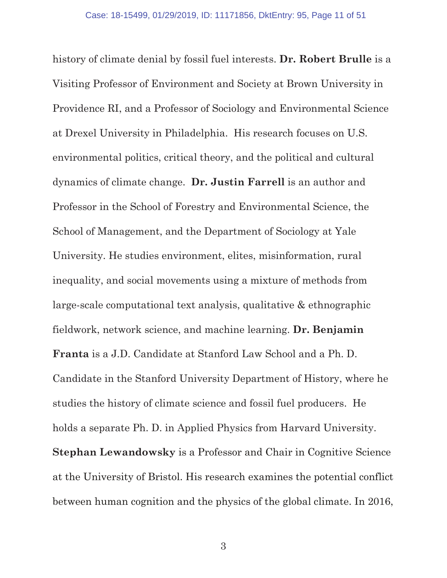history of climate denial by fossil fuel interests. **Dr. Robert Brulle** is a Visiting Professor of Environment and Society at Brown University in Providence RI, and a Professor of Sociology and Environmental Science at Drexel University in Philadelphia. His research focuses on U.S. environmental politics, critical theory, and the political and cultural dynamics of climate change. **Dr. Justin Farrell** is an author and Professor in the School of Forestry and Environmental Science, the School of Management, and the Department of Sociology at Yale University. He studies environment, elites, misinformation, rural inequality, and social movements using a mixture of methods from large-scale computational text analysis, qualitative & ethnographic fieldwork, network science, and machine learning. **Dr. Benjamin Franta** is a J.D. Candidate at Stanford Law School and a Ph. D. Candidate in the Stanford University Department of History, where he studies the history of climate science and fossil fuel producers. He holds a separate Ph. D. in Applied Physics from Harvard University. **Stephan Lewandowsky** is a Professor and Chair in Cognitive Science at the University of Bristol. His research examines the potential conflict between human cognition and the physics of the global climate. In 2016,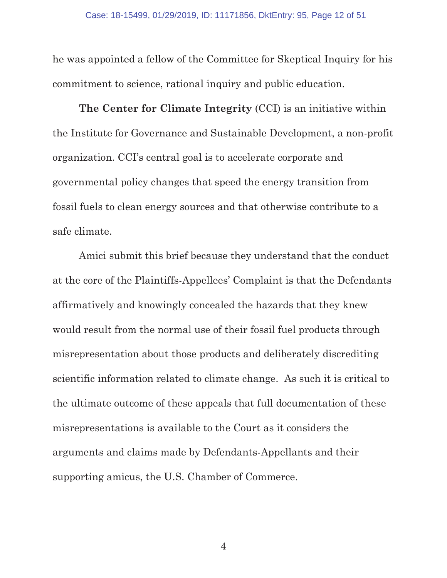he was appointed a fellow of the Committee for Skeptical Inquiry for his commitment to science, rational inquiry and public education.

**The Center for Climate Integrity** (CCI) is an initiative within the Institute for Governance and Sustainable Development, a non-profit organization. CCI's central goal is to accelerate corporate and governmental policy changes that speed the energy transition from fossil fuels to clean energy sources and that otherwise contribute to a safe climate.

Amici submit this brief because they understand that the conduct at the core of the Plaintiffs-Appellees' Complaint is that the Defendants affirmatively and knowingly concealed the hazards that they knew would result from the normal use of their fossil fuel products through misrepresentation about those products and deliberately discrediting scientific information related to climate change. As such it is critical to the ultimate outcome of these appeals that full documentation of these misrepresentations is available to the Court as it considers the arguments and claims made by Defendants-Appellants and their supporting amicus, the U.S. Chamber of Commerce.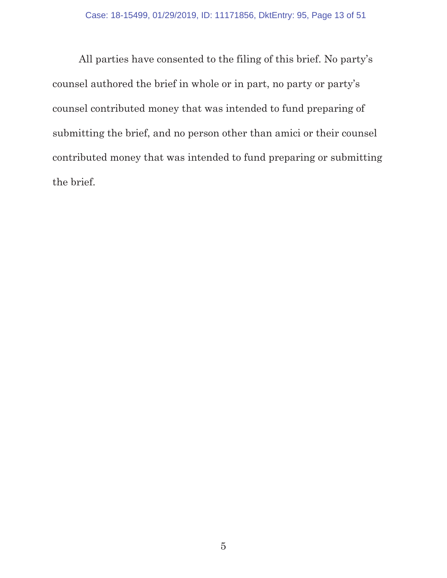All parties have consented to the filing of this brief. No party's counsel authored the brief in whole or in part, no party or party's counsel contributed money that was intended to fund preparing of submitting the brief, and no person other than amici or their counsel contributed money that was intended to fund preparing or submitting the brief.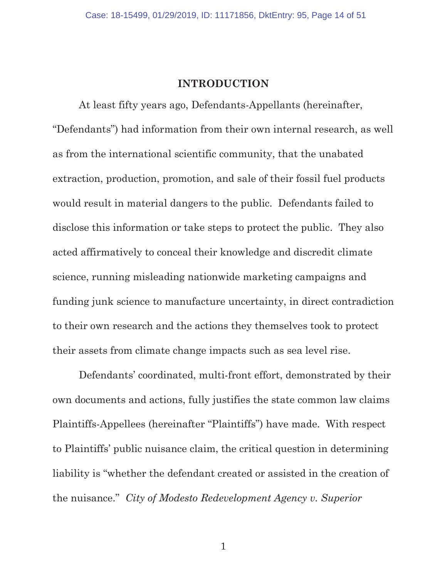#### **INTRODUCTION**

At least fifty years ago, Defendants-Appellants (hereinafter, "Defendants") had information from their own internal research, as well as from the international scientific community, that the unabated extraction, production, promotion, and sale of their fossil fuel products would result in material dangers to the public. Defendants failed to disclose this information or take steps to protect the public. They also acted affirmatively to conceal their knowledge and discredit climate science, running misleading nationwide marketing campaigns and funding junk science to manufacture uncertainty, in direct contradiction to their own research and the actions they themselves took to protect their assets from climate change impacts such as sea level rise.

Defendants' coordinated, multi-front effort, demonstrated by their own documents and actions, fully justifies the state common law claims Plaintiffs-Appellees (hereinafter "Plaintiffs") have made. With respect to Plaintiffs' public nuisance claim, the critical question in determining liability is "whether the defendant created or assisted in the creation of the nuisance." *City of Modesto Redevelopment Agency v. Superior*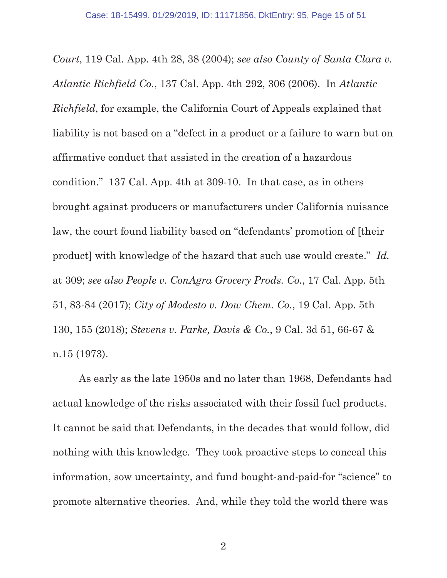*Court*, 119 Cal. App. 4th 28, 38 (2004); *see also County of Santa Clara v. Atlantic Richfield Co.*, 137 Cal. App. 4th 292, 306 (2006). In *Atlantic Richfield*, for example, the California Court of Appeals explained that liability is not based on a "defect in a product or a failure to warn but on affirmative conduct that assisted in the creation of a hazardous condition." 137 Cal. App. 4th at 309-10. In that case, as in others brought against producers or manufacturers under California nuisance law, the court found liability based on "defendants' promotion of [their product] with knowledge of the hazard that such use would create." *Id.* at 309; *see also People v. ConAgra Grocery Prods. Co.*, 17 Cal. App. 5th 51, 83-84 (2017); *City of Modesto v. Dow Chem. Co.*, 19 Cal. App. 5th 130, 155 (2018); *Stevens v. Parke, Davis & Co.*, 9 Cal. 3d 51, 66-67 & n.15 (1973).

As early as the late 1950s and no later than 1968, Defendants had actual knowledge of the risks associated with their fossil fuel products. It cannot be said that Defendants, in the decades that would follow, did nothing with this knowledge. They took proactive steps to conceal this information, sow uncertainty, and fund bought-and-paid-for "science" to promote alternative theories. And, while they told the world there was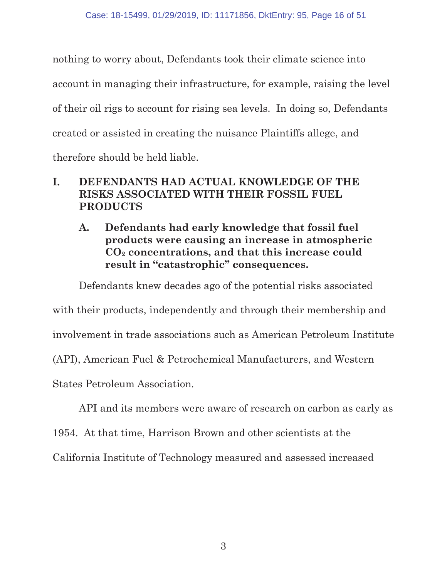nothing to worry about, Defendants took their climate science into account in managing their infrastructure, for example, raising the level of their oil rigs to account for rising sea levels. In doing so, Defendants created or assisted in creating the nuisance Plaintiffs allege, and therefore should be held liable.

## **I. DEFENDANTS HAD ACTUAL KNOWLEDGE OF THE RISKS ASSOCIATED WITH THEIR FOSSIL FUEL PRODUCTS**

**A. Defendants had early knowledge that fossil fuel products were causing an increase in atmospheric CO2 concentrations, and that this increase could result in "catastrophic" consequences.** 

Defendants knew decades ago of the potential risks associated

with their products, independently and through their membership and

involvement in trade associations such as American Petroleum Institute

(API), American Fuel & Petrochemical Manufacturers, and Western

States Petroleum Association.

API and its members were aware of research on carbon as early as

1954. At that time, Harrison Brown and other scientists at the

California Institute of Technology measured and assessed increased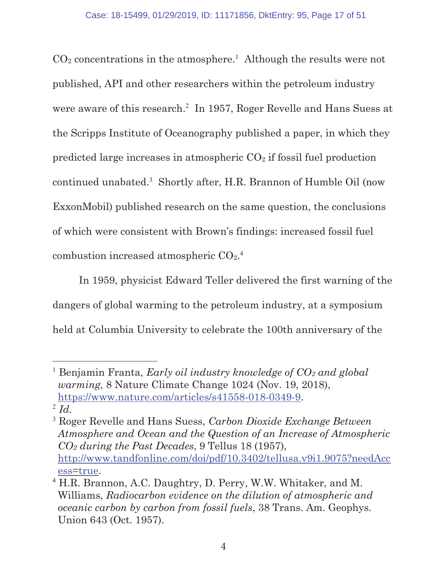$CO<sub>2</sub>$  concentrations in the atmosphere.<sup>1</sup> Although the results were not published, API and other researchers within the petroleum industry were aware of this research.<sup>2</sup> In 1957, Roger Revelle and Hans Suess at the Scripps Institute of Oceanography published a paper, in which they predicted large increases in atmospheric  $CO<sub>2</sub>$  if fossil fuel production continued unabated.<sup>3</sup> Shortly after, H.R. Brannon of Humble Oil (now ExxonMobil) published research on the same question, the conclusions of which were consistent with Brown's findings: increased fossil fuel combustion increased atmospheric CO<sub>2</sub>.<sup>4</sup>

In 1959, physicist Edward Teller delivered the first warning of the dangers of global warming to the petroleum industry, at a symposium held at Columbia University to celebrate the 100th anniversary of the

<sup>&</sup>lt;sup>1</sup> Benjamin Franta, *Early oil industry knowledge of CO<sub>2</sub> and global warming*, 8 Nature Climate Change 1024 (Nov. 19, 2018), https://www.nature.com/articles/s41558-018-0349-9. <sup>2</sup> *Id.*

<sup>3</sup> Roger Revelle and Hans Suess, *Carbon Dioxide Exchange Between Atmosphere and Ocean and the Question of an Increase of Atmospheric CO2 during the Past Decades*, 9 Tellus 18 (1957), http://www.tandfonline.com/doi/pdf/10.3402/tellusa.v9i1.9075?needAcc ess=true.

<sup>4</sup> H.R. Brannon, A.C. Daughtry, D. Perry, W.W. Whitaker, and M. Williams, *Radiocarbon evidence on the dilution of atmospheric and oceanic carbon by carbon from fossil fuels*, 38 Trans. Am. Geophys. Union 643 (Oct. 1957).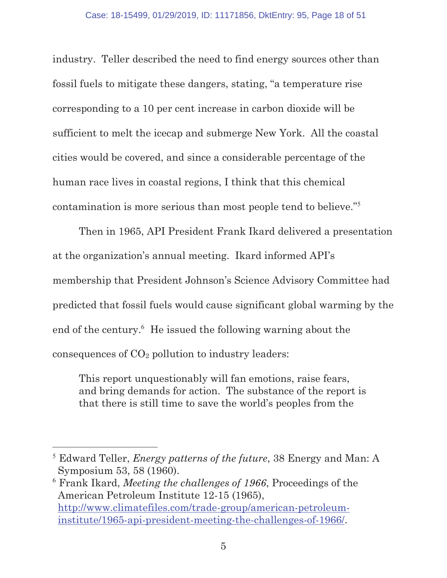industry. Teller described the need to find energy sources other than fossil fuels to mitigate these dangers, stating, "a temperature rise corresponding to a 10 per cent increase in carbon dioxide will be sufficient to melt the icecap and submerge New York. All the coastal cities would be covered, and since a considerable percentage of the human race lives in coastal regions, I think that this chemical contamination is more serious than most people tend to believe."<sup>5</sup>

Then in 1965, API President Frank Ikard delivered a presentation at the organization's annual meeting. Ikard informed API's membership that President Johnson's Science Advisory Committee had predicted that fossil fuels would cause significant global warming by the end of the century.<sup>6</sup> He issued the following warning about the consequences of  $CO<sub>2</sub>$  pollution to industry leaders:

This report unquestionably will fan emotions, raise fears, and bring demands for action. The substance of the report is that there is still time to save the world's peoples from the

6 Frank Ikard, *Meeting the challenges of 1966*, Proceedings of the American Petroleum Institute 12-15 (1965), http://www.climatefiles.com/trade-group/american-petroleuminstitute/1965-api-president-meeting-the-challenges-of-1966/.

<sup>5</sup> Edward Teller, *Energy patterns of the future*, 38 Energy and Man: A Symposium 53, 58 (1960).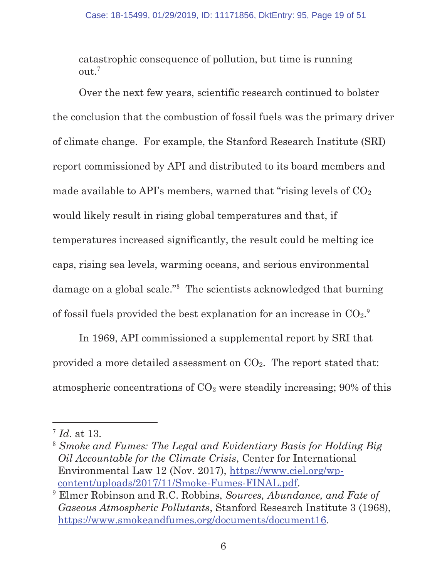catastrophic consequence of pollution, but time is running  $out.<sup>7</sup>$ 

Over the next few years, scientific research continued to bolster the conclusion that the combustion of fossil fuels was the primary driver of climate change. For example, the Stanford Research Institute (SRI) report commissioned by API and distributed to its board members and made available to API's members, warned that "rising levels of  $CO<sub>2</sub>$ would likely result in rising global temperatures and that, if temperatures increased significantly, the result could be melting ice caps, rising sea levels, warming oceans, and serious environmental damage on a global scale."<sup>8</sup> The scientists acknowledged that burning of fossil fuels provided the best explanation for an increase in  $CO<sub>2</sub>$ .

In 1969, API commissioned a supplemental report by SRI that provided a more detailed assessment on CO2. The report stated that: atmospheric concentrations of  $CO<sub>2</sub>$  were steadily increasing; 90% of this

<sup>7</sup> *Id.* at 13.

<sup>8</sup> *Smoke and Fumes: The Legal and Evidentiary Basis for Holding Big Oil Accountable for the Climate Crisis*, Center for International Environmental Law 12 (Nov. 2017), https://www.ciel.org/wpcontent/uploads/2017/11/Smoke-Fumes-FINAL.pdf.

<sup>9</sup> Elmer Robinson and R.C. Robbins, *Sources, Abundance, and Fate of Gaseous Atmospheric Pollutants*, Stanford Research Institute 3 (1968), https://www.smokeandfumes.org/documents/document16.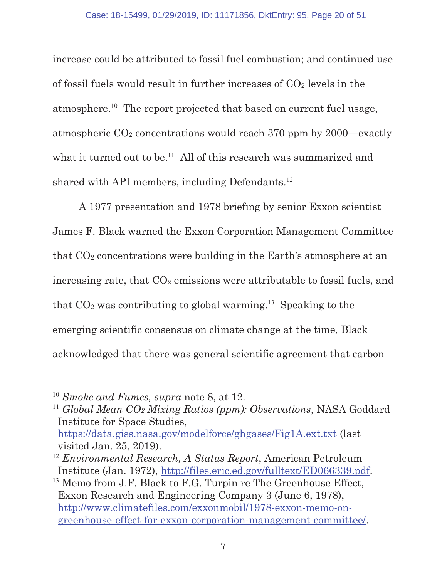increase could be attributed to fossil fuel combustion; and continued use of fossil fuels would result in further increases of  $CO<sub>2</sub>$  levels in the atmosphere.<sup>10</sup> The report projected that based on current fuel usage, atmospheric CO2 concentrations would reach 370 ppm by 2000—exactly what it turned out to be.<sup>11</sup> All of this research was summarized and shared with API members, including Defendants.<sup>12</sup>

A 1977 presentation and 1978 briefing by senior Exxon scientist James F. Black warned the Exxon Corporation Management Committee that  $CO<sub>2</sub>$  concentrations were building in the Earth's atmosphere at an increasing rate, that  $CO<sub>2</sub>$  emissions were attributable to fossil fuels, and that  $CO<sub>2</sub>$  was contributing to global warming.<sup>13</sup> Speaking to the emerging scientific consensus on climate change at the time, Black acknowledged that there was general scientific agreement that carbon

<sup>10</sup> *Smoke and Fumes, supra* note 8, at 12.

<sup>11</sup> *Global Mean CO2 Mixing Ratios (ppm): Observations*, NASA Goddard Institute for Space Studies, https://data.giss.nasa.gov/modelforce/ghgases/Fig1A.ext.txt (last

visited Jan. 25, 2019).

<sup>12</sup> *Environmental Research, A Status Report*, American Petroleum Institute (Jan. 1972), http://files.eric.ed.gov/fulltext/ED066339.pdf.

<sup>&</sup>lt;sup>13</sup> Memo from J.F. Black to F.G. Turpin re The Greenhouse Effect, Exxon Research and Engineering Company 3 (June 6, 1978), http://www.climatefiles.com/exxonmobil/1978-exxon-memo-ongreenhouse-effect-for-exxon-corporation-management-committee/.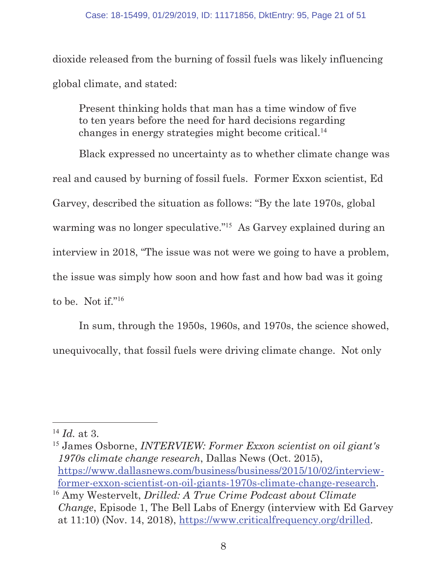dioxide released from the burning of fossil fuels was likely influencing global climate, and stated:

Present thinking holds that man has a time window of five to ten years before the need for hard decisions regarding changes in energy strategies might become critical.<sup>14</sup>

Black expressed no uncertainty as to whether climate change was real and caused by burning of fossil fuels. Former Exxon scientist, Ed Garvey, described the situation as follows: "By the late 1970s, global warming was no longer speculative."<sup>15</sup> As Garvey explained during an interview in 2018, "The issue was not were we going to have a problem, the issue was simply how soon and how fast and how bad was it going to be. Not if."<sup>16</sup>

In sum, through the 1950s, 1960s, and 1970s, the science showed, unequivocally, that fossil fuels were driving climate change. Not only

<sup>14</sup> *Id.* at 3.

<sup>15</sup> James Osborne, *INTERVIEW: Former Exxon scientist on oil giant's 1970s climate change research*, Dallas News (Oct. 2015), https://www.dallasnews.com/business/business/2015/10/02/interviewformer-exxon-scientist-on-oil-giants-1970s-climate-change-research. <sup>16</sup> Amy Westervelt, *Drilled: A True Crime Podcast about Climate* 

*Change*, Episode 1, The Bell Labs of Energy (interview with Ed Garvey at 11:10) (Nov. 14, 2018), https://www.criticalfrequency.org/drilled.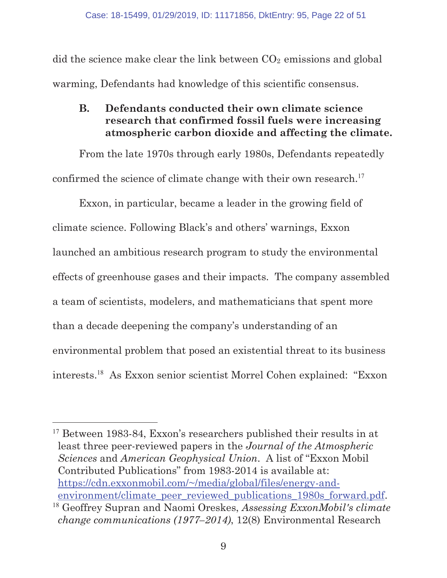did the science make clear the link between  $CO<sub>2</sub>$  emissions and global warming, Defendants had knowledge of this scientific consensus.

**B. Defendants conducted their own climate science research that confirmed fossil fuels were increasing atmospheric carbon dioxide and affecting the climate.** 

From the late 1970s through early 1980s, Defendants repeatedly confirmed the science of climate change with their own research.<sup>17</sup>

Exxon, in particular, became a leader in the growing field of climate science. Following Black's and others' warnings, Exxon launched an ambitious research program to study the environmental effects of greenhouse gases and their impacts. The company assembled a team of scientists, modelers, and mathematicians that spent more than a decade deepening the company's understanding of an environmental problem that posed an existential threat to its business interests.<sup>18</sup> As Exxon senior scientist Morrel Cohen explained: "Exxon

<sup>&</sup>lt;sup>17</sup> Between 1983-84, Exxon's researchers published their results in at least three peer-reviewed papers in the *Journal of the Atmospheric Sciences* and *American Geophysical Union*. A list of "Exxon Mobil Contributed Publications" from 1983-2014 is available at: https://cdn.exxonmobil.com/~/media/global/files/energy-andenvironment/climate\_peer\_reviewed\_publications\_1980s\_forward.pdf.

<sup>18</sup> Geoffrey Supran and Naomi Oreskes, *Assessing ExxonMobil's climate change communications (1977–2014)*, 12(8) Environmental Research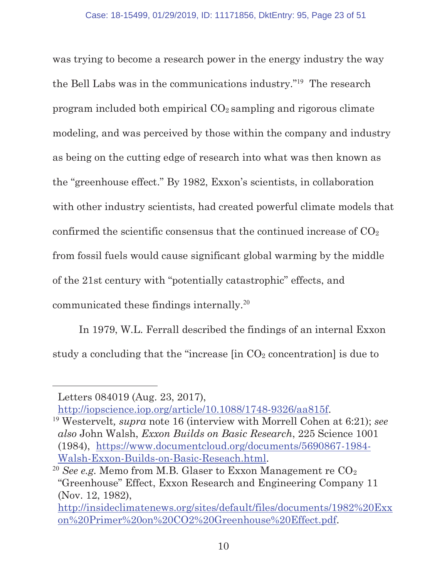was trying to become a research power in the energy industry the way the Bell Labs was in the communications industry."<sup>19</sup> The research program included both empirical  $CO<sub>2</sub>$  sampling and rigorous climate modeling, and was perceived by those within the company and industry as being on the cutting edge of research into what was then known as the "greenhouse effect." By 1982, Exxon's scientists, in collaboration with other industry scientists, had created powerful climate models that confirmed the scientific consensus that the continued increase of  $CO<sub>2</sub>$ from fossil fuels would cause significant global warming by the middle of the 21st century with "potentially catastrophic" effects, and communicated these findings internally.<sup>20</sup>

In 1979, W.L. Ferrall described the findings of an internal Exxon study a concluding that the "increase  $\left[\text{in CO}_{2} \right]$  concentration is due to

Letters 084019 (Aug. 23, 2017),

http://iopscience.iop.org/article/10.1088/1748-9326/aa815f.

<sup>19</sup> Westervelt*, supra* note 16 (interview with Morrell Cohen at 6:21); *see also* John Walsh, *Exxon Builds on Basic Research*, 225 Science 1001 (1984), https://www.documentcloud.org/documents/5690867-1984- Walsh-Exxon-Builds-on-Basic-Reseach.html.

<sup>&</sup>lt;sup>20</sup> *See e.g.* Memo from M.B. Glaser to Exxon Management re CO<sub>2</sub> "Greenhouse" Effect, Exxon Research and Engineering Company 11 (Nov. 12, 1982),

http://insideclimatenews.org/sites/default/files/documents/1982%20Exx on%20Primer%20on%20CO2%20Greenhouse%20Effect.pdf.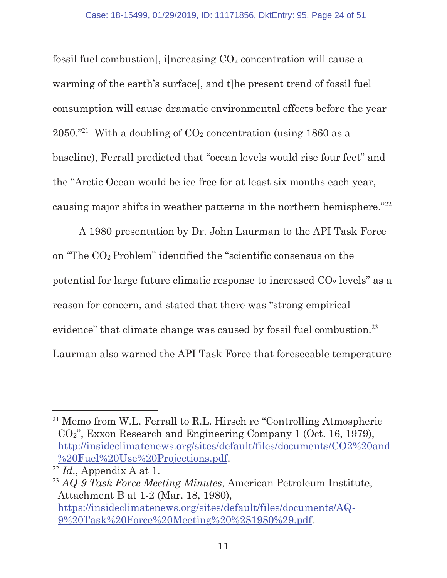fossil fuel combustion[, i]ncreasing  $CO<sub>2</sub>$  concentration will cause a warming of the earth's surface[, and t]he present trend of fossil fuel consumption will cause dramatic environmental effects before the year 2050."<sup>21</sup> With a doubling of  $CO<sub>2</sub>$  concentration (using 1860 as a baseline), Ferrall predicted that "ocean levels would rise four feet" and the "Arctic Ocean would be ice free for at least six months each year, causing major shifts in weather patterns in the northern hemisphere."<sup>22</sup>

A 1980 presentation by Dr. John Laurman to the API Task Force on "The CO2 Problem" identified the "scientific consensus on the potential for large future climatic response to increased  $CO<sub>2</sub>$  levels" as a reason for concern, and stated that there was "strong empirical evidence" that climate change was caused by fossil fuel combustion.<sup>23</sup> Laurman also warned the API Task Force that foreseeable temperature

<sup>21</sup> Memo from W.L. Ferrall to R.L. Hirsch re "Controlling Atmospheric CO2", Exxon Research and Engineering Company 1 (Oct. 16, 1979), http://insideclimatenews.org/sites/default/files/documents/CO2%20and %20Fuel%20Use%20Projections.pdf.

 $^{22}$  *Id.*, Appendix A at 1.

<sup>23</sup> *AQ-9 Task Force Meeting Minutes*, American Petroleum Institute, Attachment B at 1-2 (Mar. 18, 1980), https://insideclimatenews.org/sites/default/files/documents/AQ-9%20Task%20Force%20Meeting%20%281980%29.pdf.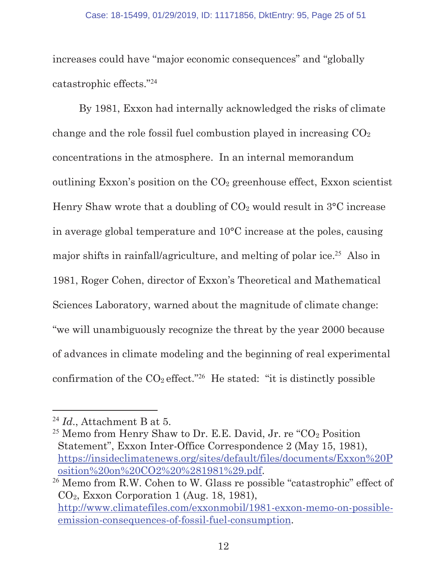increases could have "major economic consequences" and "globally catastrophic effects."<sup>24</sup>

By 1981, Exxon had internally acknowledged the risks of climate change and the role fossil fuel combustion played in increasing  $CO<sub>2</sub>$ concentrations in the atmosphere. In an internal memorandum outlining Exxon's position on the  $CO<sub>2</sub>$  greenhouse effect, Exxon scientist Henry Shaw wrote that a doubling of  $CO<sub>2</sub>$  would result in  $3^{\circ}$ C increase in average global temperature and 10°C increase at the poles, causing major shifts in rainfall/agriculture, and melting of polar ice.<sup>25</sup> Also in 1981, Roger Cohen, director of Exxon's Theoretical and Mathematical Sciences Laboratory, warned about the magnitude of climate change: "we will unambiguously recognize the threat by the year 2000 because of advances in climate modeling and the beginning of real experimental confirmation of the  $CO_2$  effect."<sup>26</sup> He stated: "it is distinctly possible

<sup>24</sup> *Id*., Attachment B at 5.

<sup>&</sup>lt;sup>25</sup> Memo from Henry Shaw to Dr. E.E. David, Jr. re " $CO<sub>2</sub>$  Position" Statement", Exxon Inter-Office Correspondence 2 (May 15, 1981), https://insideclimatenews.org/sites/default/files/documents/Exxon%20P osition%20on%20CO2%20%281981%29.pdf.

<sup>&</sup>lt;sup>26</sup> Memo from R.W. Cohen to W. Glass re possible "catastrophic" effect of CO2, Exxon Corporation 1 (Aug. 18, 1981), http://www.climatefiles.com/exxonmobil/1981-exxon-memo-on-possibleemission-consequences-of-fossil-fuel-consumption.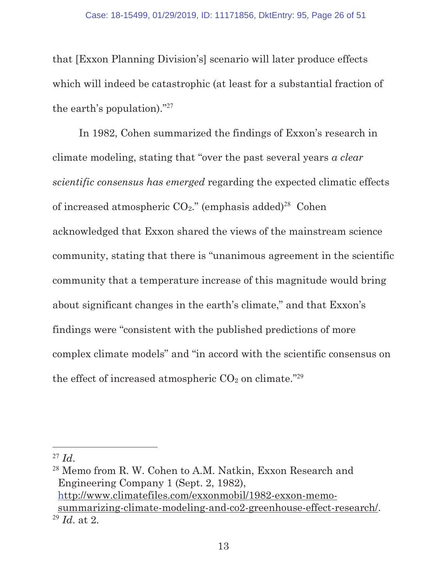that [Exxon Planning Division's] scenario will later produce effects which will indeed be catastrophic (at least for a substantial fraction of the earth's population)."<sup>27</sup>

In 1982, Cohen summarized the findings of Exxon's research in climate modeling, stating that "over the past several years *a clear scientific consensus has emerged* regarding the expected climatic effects of increased atmospheric  $CO<sub>2</sub>$ ." (emphasis added)<sup>28</sup> Cohen acknowledged that Exxon shared the views of the mainstream science community, stating that there is "unanimous agreement in the scientific community that a temperature increase of this magnitude would bring about significant changes in the earth's climate," and that Exxon's findings were "consistent with the published predictions of more complex climate models" and "in accord with the scientific consensus on the effect of increased atmospheric  $CO<sub>2</sub>$  on climate."<sup>29</sup>

 $^{27}$  *Id.* 

<sup>28</sup> Memo from R. W. Cohen to A.M. Natkin, Exxon Research and Engineering Company 1 (Sept. 2, 1982), http://www.climatefiles.com/exxonmobil/1982-exxon-memosummarizing-climate-modeling-and-co2-greenhouse-effect-research/. <sup>29</sup> *Id*. at 2.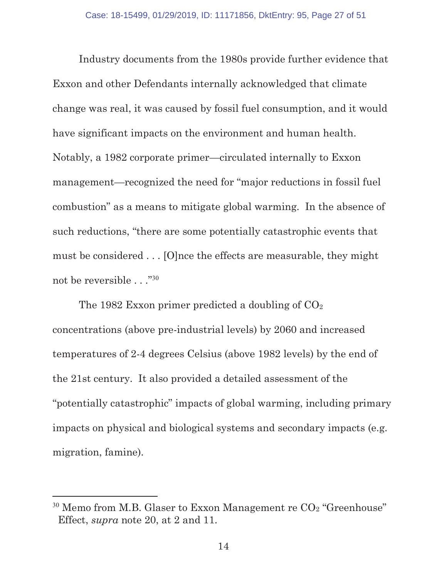Industry documents from the 1980s provide further evidence that Exxon and other Defendants internally acknowledged that climate change was real, it was caused by fossil fuel consumption, and it would have significant impacts on the environment and human health. Notably, a 1982 corporate primer—circulated internally to Exxon management—recognized the need for "major reductions in fossil fuel combustion" as a means to mitigate global warming. In the absence of such reductions, "there are some potentially catastrophic events that must be considered . . . [O]nce the effects are measurable, they might not be reversible . . ."<sup>30</sup>

The 1982 Exxon primer predicted a doubling of  $CO<sub>2</sub>$ concentrations (above pre-industrial levels) by 2060 and increased temperatures of 2-4 degrees Celsius (above 1982 levels) by the end of the 21st century. It also provided a detailed assessment of the "potentially catastrophic" impacts of global warming, including primary impacts on physical and biological systems and secondary impacts (e.g. migration, famine).

 $30$  Memo from M.B. Glaser to Exxon Management re  $CO<sub>2</sub>$  "Greenhouse" Effect, *supra* note 20, at 2 and 11.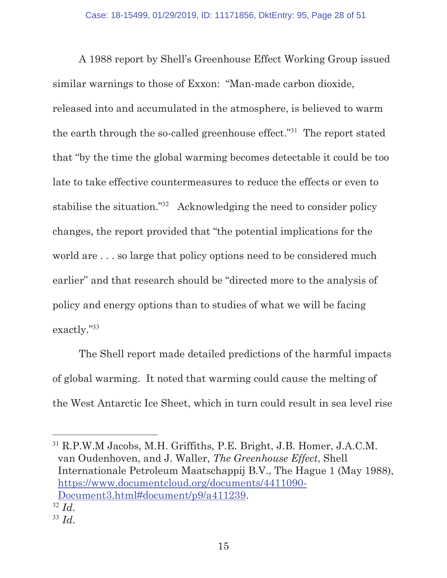A 1988 report by Shell's Greenhouse Effect Working Group issued similar warnings to those of Exxon: "Man-made carbon dioxide, released into and accumulated in the atmosphere, is believed to warm the earth through the so-called greenhouse effect."<sup>31</sup> The report stated that "by the time the global warming becomes detectable it could be too late to take effective countermeasures to reduce the effects or even to stabilise the situation."<sup>32</sup> Acknowledging the need to consider policy changes, the report provided that "the potential implications for the world are . . . so large that policy options need to be considered much earlier" and that research should be "directed more to the analysis of policy and energy options than to studies of what we will be facing exactly."<sup>33</sup>

The Shell report made detailed predictions of the harmful impacts of global warming. It noted that warming could cause the melting of the West Antarctic Ice Sheet, which in turn could result in sea level rise

l <sup>31</sup> R.P.W.M Jacobs, M.H. Griffiths, P.E. Bright, J.B. Homer, J.A.C.M. van Oudenhoven, and J. Waller, *The Greenhouse Effect*, Shell Internationale Petroleum Maatschappij B.V., The Hague 1 (May 1988), https://www.documentcloud.org/documents/4411090- Document3.html#document/p9/a411239.

<sup>32</sup> *Id*.

<sup>33</sup> *Id*.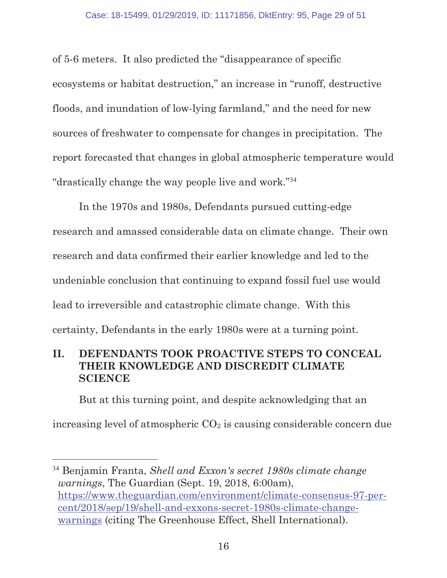of 5-6 meters. It also predicted the "disappearance of specific ecosystems or habitat destruction," an increase in "runoff, destructive floods, and inundation of low-lying farmland," and the need for new sources of freshwater to compensate for changes in precipitation. The report forecasted that changes in global atmospheric temperature would "drastically change the way people live and work."<sup>34</sup>

In the 1970s and 1980s, Defendants pursued cutting-edge research and amassed considerable data on climate change. Their own research and data confirmed their earlier knowledge and led to the undeniable conclusion that continuing to expand fossil fuel use would lead to irreversible and catastrophic climate change. With this certainty, Defendants in the early 1980s were at a turning point.

## **II. DEFENDANTS TOOK PROACTIVE STEPS TO CONCEAL THEIR KNOWLEDGE AND DISCREDIT CLIMATE SCIENCE**

But at this turning point, and despite acknowledging that an increasing level of atmospheric  $CO<sub>2</sub>$  is causing considerable concern due

<sup>34</sup> Benjamin Franta, *Shell and Exxon's secret 1980s climate change warnings*, The Guardian (Sept. 19, 2018, 6:00am), https://www.theguardian.com/environment/climate-consensus-97-percent/2018/sep/19/shell-and-exxons-secret-1980s-climate-changewarnings (citing The Greenhouse Effect, Shell International).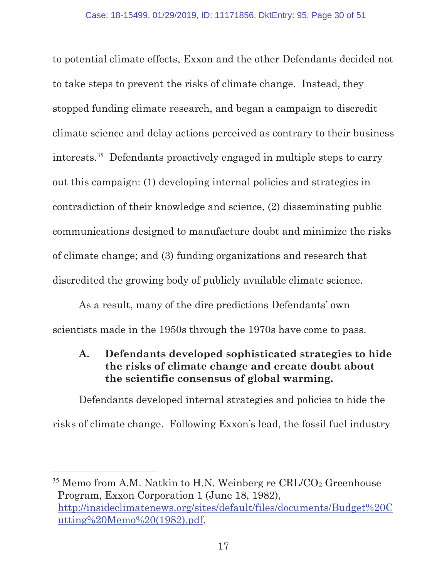to potential climate effects, Exxon and the other Defendants decided not to take steps to prevent the risks of climate change. Instead, they stopped funding climate research, and began a campaign to discredit climate science and delay actions perceived as contrary to their business interests.<sup>35</sup> Defendants proactively engaged in multiple steps to carry out this campaign: (1) developing internal policies and strategies in contradiction of their knowledge and science, (2) disseminating public communications designed to manufacture doubt and minimize the risks of climate change; and (3) funding organizations and research that discredited the growing body of publicly available climate science.

As a result, many of the dire predictions Defendants' own scientists made in the 1950s through the 1970s have come to pass.

## **A. Defendants developed sophisticated strategies to hide the risks of climate change and create doubt about the scientific consensus of global warming.**

Defendants developed internal strategies and policies to hide the risks of climate change. Following Exxon's lead, the fossil fuel industry

<sup>&</sup>lt;sup>35</sup> Memo from A.M. Natkin to H.N. Weinberg re CRL/CO<sub>2</sub> Greenhouse Program, Exxon Corporation 1 (June 18, 1982), http://insideclimatenews.org/sites/default/files/documents/Budget%20C utting%20Memo%20(1982).pdf.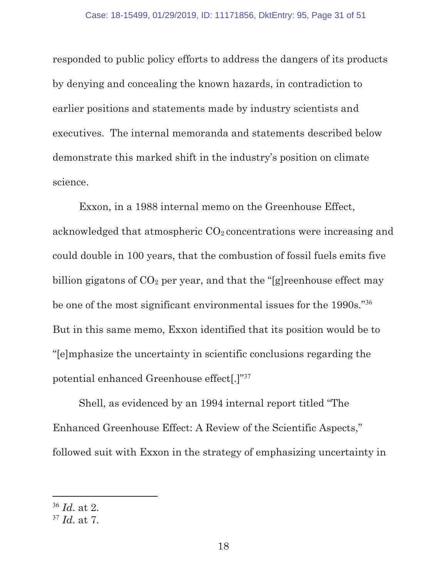responded to public policy efforts to address the dangers of its products by denying and concealing the known hazards, in contradiction to earlier positions and statements made by industry scientists and executives. The internal memoranda and statements described below demonstrate this marked shift in the industry's position on climate science.

Exxon, in a 1988 internal memo on the Greenhouse Effect, acknowledged that atmospheric  $CO<sub>2</sub>$  concentrations were increasing and could double in 100 years, that the combustion of fossil fuels emits five billion gigatons of  $CO<sub>2</sub>$  per year, and that the "[g]reenhouse effect may be one of the most significant environmental issues for the 1990s."<sup>36</sup> But in this same memo, Exxon identified that its position would be to "[e]mphasize the uncertainty in scientific conclusions regarding the potential enhanced Greenhouse effect[.]"<sup>37</sup>

Shell, as evidenced by an 1994 internal report titled "The Enhanced Greenhouse Effect: A Review of the Scientific Aspects," followed suit with Exxon in the strategy of emphasizing uncertainty in

<sup>36</sup> *Id*. at 2.

<sup>37</sup> *Id*. at 7.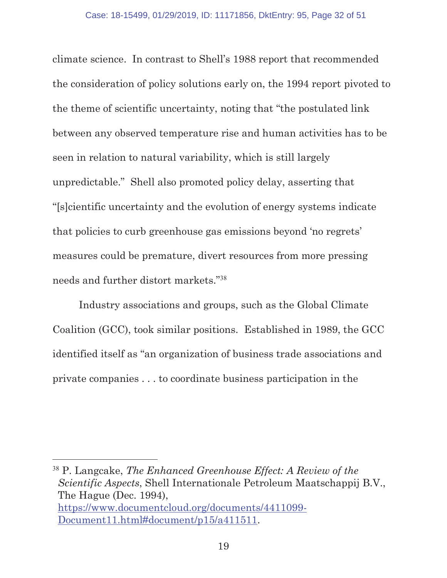climate science. In contrast to Shell's 1988 report that recommended the consideration of policy solutions early on, the 1994 report pivoted to the theme of scientific uncertainty, noting that "the postulated link between any observed temperature rise and human activities has to be seen in relation to natural variability, which is still largely unpredictable." Shell also promoted policy delay, asserting that "[s]cientific uncertainty and the evolution of energy systems indicate that policies to curb greenhouse gas emissions beyond 'no regrets' measures could be premature, divert resources from more pressing needs and further distort markets."<sup>38</sup>

Industry associations and groups, such as the Global Climate Coalition (GCC), took similar positions. Established in 1989, the GCC identified itself as "an organization of business trade associations and private companies . . . to coordinate business participation in the

<sup>38</sup> P. Langcake, *The Enhanced Greenhouse Effect: A Review of the Scientific Aspects*, Shell Internationale Petroleum Maatschappij B.V., The Hague (Dec. 1994), https://www.documentcloud.org/documents/4411099- Document11.html#document/p15/a411511.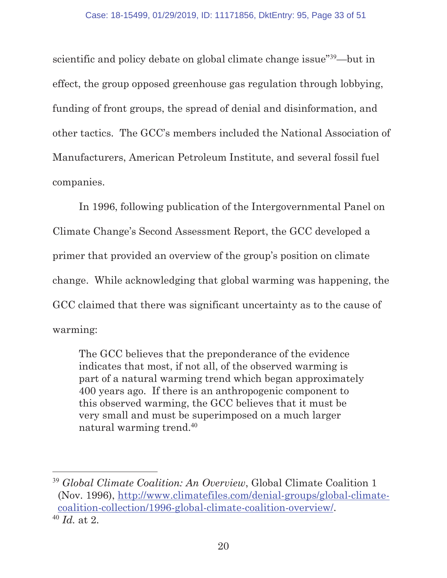scientific and policy debate on global climate change issue"<sup>39</sup>—but in effect, the group opposed greenhouse gas regulation through lobbying, funding of front groups, the spread of denial and disinformation, and other tactics. The GCC's members included the National Association of Manufacturers, American Petroleum Institute, and several fossil fuel companies.

In 1996, following publication of the Intergovernmental Panel on Climate Change's Second Assessment Report, the GCC developed a primer that provided an overview of the group's position on climate change. While acknowledging that global warming was happening, the GCC claimed that there was significant uncertainty as to the cause of warming:

The GCC believes that the preponderance of the evidence indicates that most, if not all, of the observed warming is part of a natural warming trend which began approximately 400 years ago. If there is an anthropogenic component to this observed warming, the GCC believes that it must be very small and must be superimposed on a much larger natural warming trend.<sup>40</sup>

<sup>39</sup> *Global Climate Coalition: An Overview*, Global Climate Coalition 1 (Nov. 1996), http://www.climatefiles.com/denial-groups/global-climatecoalition-collection/1996-global-climate-coalition-overview/. <sup>40</sup> *Id.* at 2.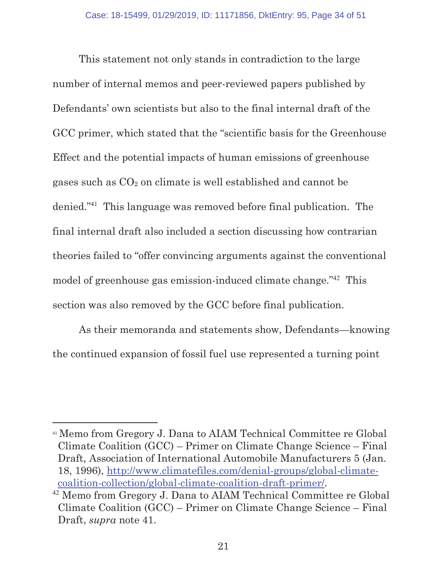This statement not only stands in contradiction to the large number of internal memos and peer-reviewed papers published by Defendants' own scientists but also to the final internal draft of the GCC primer, which stated that the "scientific basis for the Greenhouse Effect and the potential impacts of human emissions of greenhouse gases such as CO2 on climate is well established and cannot be denied."<sup>41</sup> This language was removed before final publication. The final internal draft also included a section discussing how contrarian theories failed to "offer convincing arguments against the conventional model of greenhouse gas emission-induced climate change."<sup>42</sup> This section was also removed by the GCC before final publication.

As their memoranda and statements show, Defendants—knowing the continued expansion of fossil fuel use represented a turning point

 $\overline{a}$ 

<sup>41</sup> Memo from Gregory J. Dana to AIAM Technical Committee re Global Climate Coalition (GCC) – Primer on Climate Change Science – Final Draft, Association of International Automobile Manufacturers 5 (Jan. 18, 1996), http://www.climatefiles.com/denial-groups/global-climatecoalition-collection/global-climate-coalition-draft-primer/.

<sup>42</sup> Memo from Gregory J. Dana to AIAM Technical Committee re Global Climate Coalition (GCC) – Primer on Climate Change Science – Final Draft, *supra* note 41.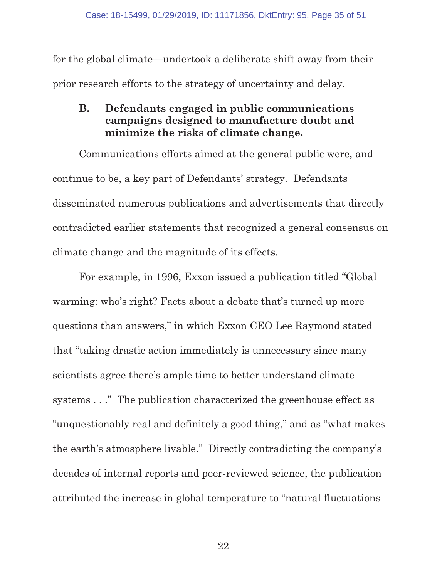for the global climate—undertook a deliberate shift away from their prior research efforts to the strategy of uncertainty and delay.

#### **B. Defendants engaged in public communications campaigns designed to manufacture doubt and minimize the risks of climate change.**

Communications efforts aimed at the general public were, and continue to be, a key part of Defendants' strategy. Defendants disseminated numerous publications and advertisements that directly contradicted earlier statements that recognized a general consensus on climate change and the magnitude of its effects.

For example, in 1996, Exxon issued a publication titled "Global warming: who's right? Facts about a debate that's turned up more questions than answers," in which Exxon CEO Lee Raymond stated that "taking drastic action immediately is unnecessary since many scientists agree there's ample time to better understand climate systems . . ." The publication characterized the greenhouse effect as "unquestionably real and definitely a good thing," and as "what makes the earth's atmosphere livable." Directly contradicting the company's decades of internal reports and peer-reviewed science, the publication attributed the increase in global temperature to "natural fluctuations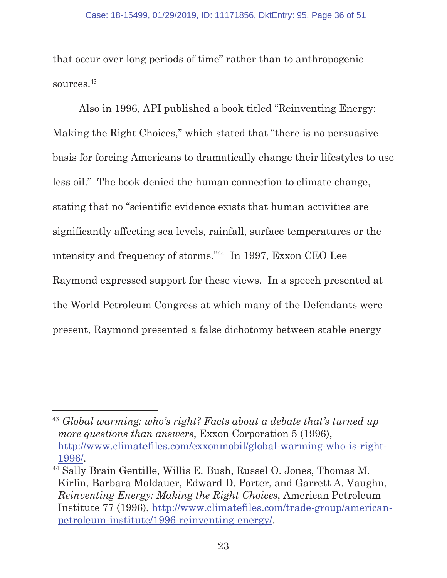that occur over long periods of time" rather than to anthropogenic sources.<sup>43</sup>

Also in 1996, API published a book titled "Reinventing Energy: Making the Right Choices," which stated that "there is no persuasive basis for forcing Americans to dramatically change their lifestyles to use less oil." The book denied the human connection to climate change, stating that no "scientific evidence exists that human activities are significantly affecting sea levels, rainfall, surface temperatures or the intensity and frequency of storms."<sup>44</sup> In 1997, Exxon CEO Lee Raymond expressed support for these views. In a speech presented at the World Petroleum Congress at which many of the Defendants were present, Raymond presented a false dichotomy between stable energy

<sup>43</sup> *Global warming: who's right? Facts about a debate that's turned up more questions than answers*, Exxon Corporation 5 (1996), http://www.climatefiles.com/exxonmobil/global-warming-who-is-right-1996/.

<sup>44</sup> Sally Brain Gentille, Willis E. Bush, Russel O. Jones, Thomas M. Kirlin, Barbara Moldauer, Edward D. Porter, and Garrett A. Vaughn, *Reinventing Energy: Making the Right Choices*, American Petroleum Institute 77 (1996), http://www.climatefiles.com/trade-group/americanpetroleum-institute/1996-reinventing-energy/.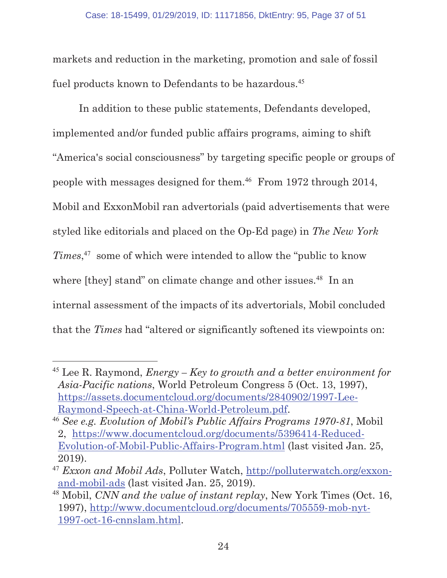markets and reduction in the marketing, promotion and sale of fossil fuel products known to Defendants to be hazardous.<sup>45</sup>

In addition to these public statements, Defendants developed, implemented and/or funded public affairs programs, aiming to shift "America's social consciousness" by targeting specific people or groups of people with messages designed for them.<sup>46</sup> From 1972 through 2014, Mobil and ExxonMobil ran advertorials (paid advertisements that were styled like editorials and placed on the Op-Ed page) in *The New York Times*, <sup>47</sup> some of which were intended to allow the "public to know where [they] stand" on climate change and other issues.<sup>48</sup> In an internal assessment of the impacts of its advertorials, Mobil concluded that the *Times* had "altered or significantly softened its viewpoints on:

<sup>45</sup> Lee R. Raymond, *Energy – Key to growth and a better environment for Asia-Pacific nations*, World Petroleum Congress 5 (Oct. 13, 1997), https://assets.documentcloud.org/documents/2840902/1997-Lee-Raymond-Speech-at-China-World-Petroleum.pdf.

<sup>46</sup> *See e.g. Evolution of Mobil's Public Affairs Programs 1970-81*, Mobil 2, https://www.documentcloud.org/documents/5396414-Reduced-Evolution-of-Mobil-Public-Affairs-Program.html (last visited Jan. 25, 2019).

<sup>47</sup> *Exxon and Mobil Ads*, Polluter Watch, http://polluterwatch.org/exxonand-mobil-ads (last visited Jan. 25, 2019).

<sup>48</sup> Mobil, *CNN and the value of instant replay*, New York Times (Oct. 16, 1997), http://www.documentcloud.org/documents/705559-mob-nyt-1997-oct-16-cnnslam.html.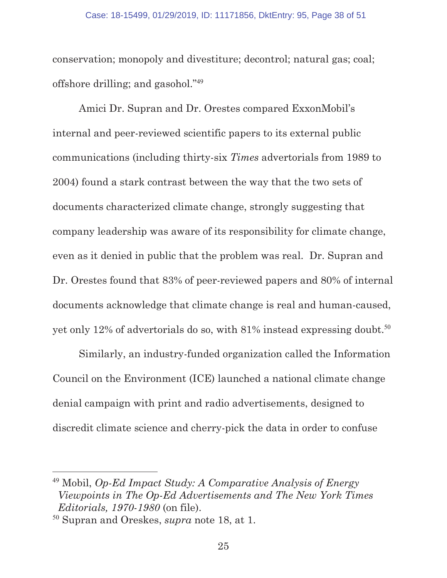conservation; monopoly and divestiture; decontrol; natural gas; coal; offshore drilling; and gasohol."<sup>49</sup>

Amici Dr. Supran and Dr. Orestes compared ExxonMobil's internal and peer-reviewed scientific papers to its external public communications (including thirty-six *Times* advertorials from 1989 to 2004) found a stark contrast between the way that the two sets of documents characterized climate change, strongly suggesting that company leadership was aware of its responsibility for climate change, even as it denied in public that the problem was real. Dr. Supran and Dr. Orestes found that 83% of peer-reviewed papers and 80% of internal documents acknowledge that climate change is real and human-caused, yet only 12% of advertorials do so, with  $81\%$  instead expressing doubt.<sup>50</sup>

Similarly, an industry-funded organization called the Information Council on the Environment (ICE) launched a national climate change denial campaign with print and radio advertisements, designed to discredit climate science and cherry-pick the data in order to confuse

<sup>49</sup> Mobil, *Op-Ed Impact Study: A Comparative Analysis of Energy Viewpoints in The Op-Ed Advertisements and The New York Times Editorials, 1970-1980* (on file).

<sup>50</sup> Supran and Oreskes, *supra* note 18, at 1.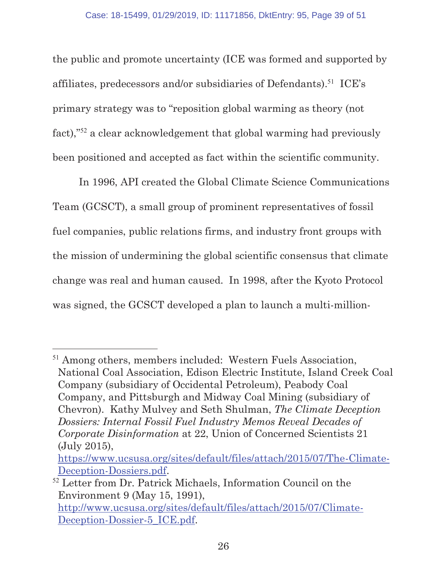the public and promote uncertainty (ICE was formed and supported by affiliates, predecessors and/or subsidiaries of Defendants).<sup>51</sup> ICE's primary strategy was to "reposition global warming as theory (not fact),"<sup>52</sup> a clear acknowledgement that global warming had previously been positioned and accepted as fact within the scientific community.

In 1996, API created the Global Climate Science Communications Team (GCSCT), a small group of prominent representatives of fossil fuel companies, public relations firms, and industry front groups with the mission of undermining the global scientific consensus that climate change was real and human caused. In 1998, after the Kyoto Protocol was signed, the GCSCT developed a plan to launch a multi-million-

<sup>&</sup>lt;sup>51</sup> Among others, members included: Western Fuels Association, National Coal Association, Edison Electric Institute, Island Creek Coal Company (subsidiary of Occidental Petroleum), Peabody Coal Company, and Pittsburgh and Midway Coal Mining (subsidiary of Chevron). Kathy Mulvey and Seth Shulman, *The Climate Deception Dossiers: Internal Fossil Fuel Industry Memos Reveal Decades of Corporate Disinformation* at 22, Union of Concerned Scientists 21 (July 2015),

https://www.ucsusa.org/sites/default/files/attach/2015/07/The-Climate-Deception-Dossiers.pdf.

<sup>52</sup> Letter from Dr. Patrick Michaels, Information Council on the Environment 9 (May 15, 1991), http://www.ucsusa.org/sites/default/files/attach/2015/07/Climate-Deception-Dossier-5\_ICE.pdf.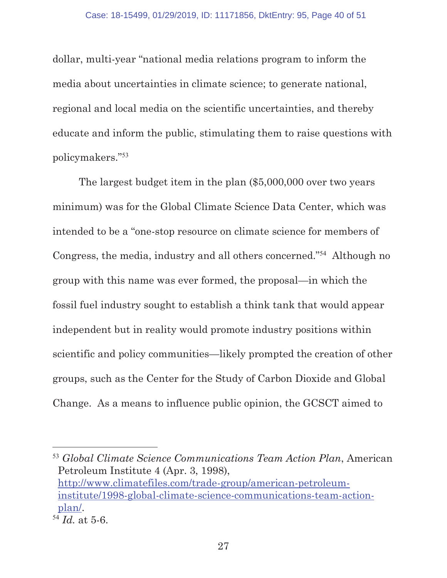dollar, multi-year "national media relations program to inform the media about uncertainties in climate science; to generate national, regional and local media on the scientific uncertainties, and thereby educate and inform the public, stimulating them to raise questions with policymakers."<sup>53</sup>

The largest budget item in the plan (\$5,000,000 over two years minimum) was for the Global Climate Science Data Center, which was intended to be a "one-stop resource on climate science for members of Congress, the media, industry and all others concerned."<sup>54</sup> Although no group with this name was ever formed, the proposal—in which the fossil fuel industry sought to establish a think tank that would appear independent but in reality would promote industry positions within scientific and policy communities—likely prompted the creation of other groups, such as the Center for the Study of Carbon Dioxide and Global Change. As a means to influence public opinion, the GCSCT aimed to

l <sup>53</sup> *Global Climate Science Communications Team Action Plan*, American Petroleum Institute 4 (Apr. 3, 1998), http://www.climatefiles.com/trade-group/american-petroleuminstitute/1998-global-climate-science-communications-team-actionplan/.

<sup>54</sup> *Id.* at 5-6.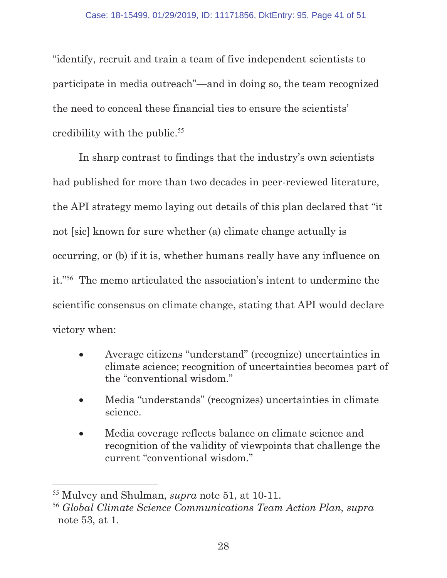"identify, recruit and train a team of five independent scientists to participate in media outreach"—and in doing so, the team recognized the need to conceal these financial ties to ensure the scientists' credibility with the public. $55$ 

In sharp contrast to findings that the industry's own scientists had published for more than two decades in peer-reviewed literature, the API strategy memo laying out details of this plan declared that "it not [sic] known for sure whether (a) climate change actually is occurring, or (b) if it is, whether humans really have any influence on it."<sup>56</sup> The memo articulated the association's intent to undermine the scientific consensus on climate change, stating that API would declare victory when:

- x Average citizens "understand" (recognize) uncertainties in climate science; recognition of uncertainties becomes part of the "conventional wisdom."
- x Media "understands" (recognizes) uncertainties in climate science.
- Media coverage reflects balance on climate science and recognition of the validity of viewpoints that challenge the current "conventional wisdom."

<sup>55</sup> Mulvey and Shulman, *supra* note 51, at 10-11.

<sup>56</sup> *Global Climate Science Communications Team Action Plan, supra* note 53, at 1.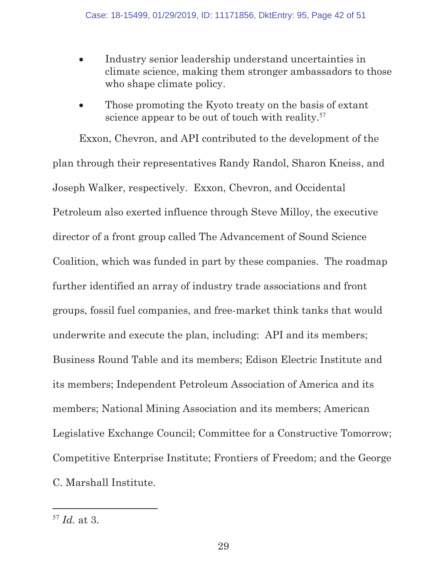- Industry senior leadership understand uncertainties in climate science, making them stronger ambassadors to those who shape climate policy.
- Those promoting the Kyoto treaty on the basis of extant science appear to be out of touch with reality.<sup>57</sup>

Exxon, Chevron, and API contributed to the development of the plan through their representatives Randy Randol, Sharon Kneiss, and Joseph Walker, respectively. Exxon, Chevron, and Occidental Petroleum also exerted influence through Steve Milloy, the executive director of a front group called The Advancement of Sound Science Coalition, which was funded in part by these companies. The roadmap further identified an array of industry trade associations and front groups, fossil fuel companies, and free-market think tanks that would underwrite and execute the plan, including: API and its members; Business Round Table and its members; Edison Electric Institute and its members; Independent Petroleum Association of America and its members; National Mining Association and its members; American Legislative Exchange Council; Committee for a Constructive Tomorrow; Competitive Enterprise Institute; Frontiers of Freedom; and the George C. Marshall Institute.

<sup>57</sup> *Id.* at 3.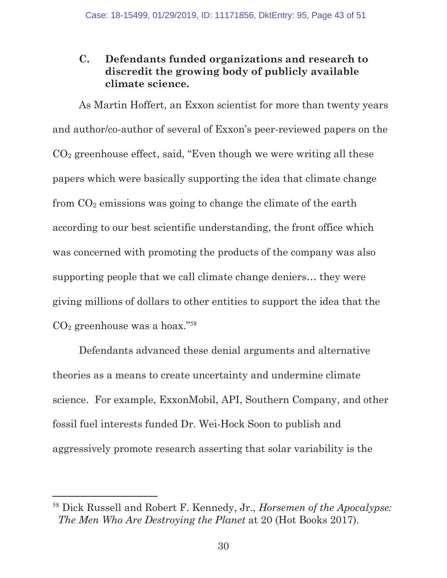## **C. Defendants funded organizations and research to discredit the growing body of publicly available climate science.**

As Martin Hoffert, an Exxon scientist for more than twenty years and author/co-author of several of Exxon's peer-reviewed papers on the CO2 greenhouse effect, said, "Even though we were writing all these papers which were basically supporting the idea that climate change from  $CO<sub>2</sub>$  emissions was going to change the climate of the earth according to our best scientific understanding, the front office which was concerned with promoting the products of the company was also supporting people that we call climate change deniers… they were giving millions of dollars to other entities to support the idea that the CO2 greenhouse was a hoax."<sup>58</sup>

Defendants advanced these denial arguments and alternative theories as a means to create uncertainty and undermine climate science. For example, ExxonMobil, API, Southern Company, and other fossil fuel interests funded Dr. Wei-Hock Soon to publish and aggressively promote research asserting that solar variability is the

<sup>58</sup> Dick Russell and Robert F. Kennedy, Jr., *Horsemen of the Apocalypse: The Men Who Are Destroying the Planet* at 20 (Hot Books 2017).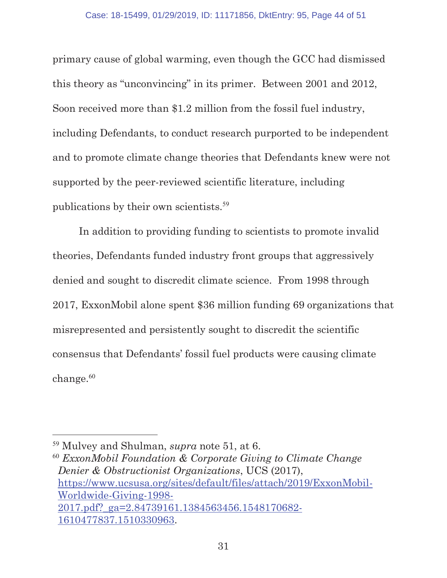primary cause of global warming, even though the GCC had dismissed this theory as "unconvincing" in its primer. Between 2001 and 2012, Soon received more than \$1.2 million from the fossil fuel industry, including Defendants, to conduct research purported to be independent and to promote climate change theories that Defendants knew were not supported by the peer-reviewed scientific literature, including publications by their own scientists.<sup>59</sup>

In addition to providing funding to scientists to promote invalid theories, Defendants funded industry front groups that aggressively denied and sought to discredit climate science. From 1998 through 2017, ExxonMobil alone spent \$36 million funding 69 organizations that misrepresented and persistently sought to discredit the scientific consensus that Defendants' fossil fuel products were causing climate change.<sup>60</sup>

l

<sup>60</sup> *ExxonMobil Foundation & Corporate Giving to Climate Change Denier & Obstructionist Organizations*, UCS (2017), https://www.ucsusa.org/sites/default/files/attach/2019/ExxonMobil-Worldwide-Giving-1998- 2017.pdf?\_ga=2.84739161.1384563456.1548170682- 1610477837.1510330963.

<sup>59</sup> Mulvey and Shulman, *supra* note 51, at 6.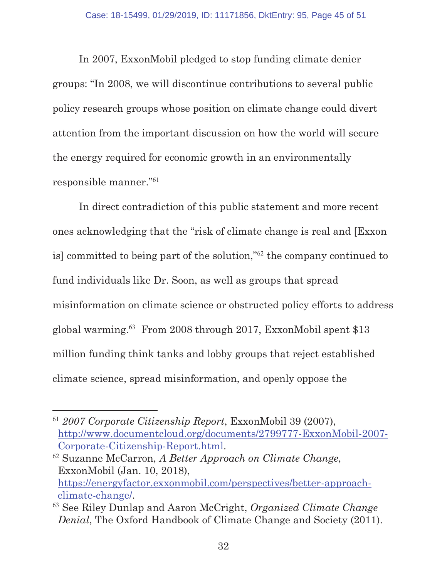In 2007, ExxonMobil pledged to stop funding climate denier groups: "In 2008, we will discontinue contributions to several public policy research groups whose position on climate change could divert attention from the important discussion on how the world will secure the energy required for economic growth in an environmentally responsible manner."<sup>61</sup>

In direct contradiction of this public statement and more recent ones acknowledging that the "risk of climate change is real and [Exxon is] committed to being part of the solution,"<sup>62</sup> the company continued to fund individuals like Dr. Soon, as well as groups that spread misinformation on climate science or obstructed policy efforts to address global warming.<sup>63</sup> From 2008 through 2017, ExxonMobil spent \$13 million funding think tanks and lobby groups that reject established climate science, spread misinformation, and openly oppose the

<sup>61</sup> *2007 Corporate Citizenship Report*, ExxonMobil 39 (2007), http://www.documentcloud.org/documents/2799777-ExxonMobil-2007- Corporate-Citizenship-Report.html.

<sup>62</sup> Suzanne McCarron, *A Better Approach on Climate Change*, ExxonMobil (Jan. 10, 2018), https://energyfactor.exxonmobil.com/perspectives/better-approachclimate-change/.

<sup>63</sup> See Riley Dunlap and Aaron McCright, *Organized Climate Change Denial*, The Oxford Handbook of Climate Change and Society (2011).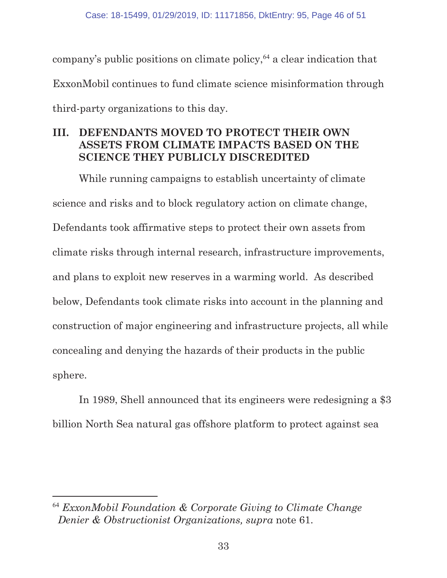company's public positions on climate policy,<sup>64</sup> a clear indication that ExxonMobil continues to fund climate science misinformation through third-party organizations to this day.

## **III. DEFENDANTS MOVED TO PROTECT THEIR OWN ASSETS FROM CLIMATE IMPACTS BASED ON THE SCIENCE THEY PUBLICLY DISCREDITED**

While running campaigns to establish uncertainty of climate science and risks and to block regulatory action on climate change, Defendants took affirmative steps to protect their own assets from climate risks through internal research, infrastructure improvements, and plans to exploit new reserves in a warming world. As described below, Defendants took climate risks into account in the planning and construction of major engineering and infrastructure projects, all while concealing and denying the hazards of their products in the public sphere.

In 1989, Shell announced that its engineers were redesigning a \$3 billion North Sea natural gas offshore platform to protect against sea

<sup>64</sup> *ExxonMobil Foundation & Corporate Giving to Climate Change Denier & Obstructionist Organizations, supra* note 61.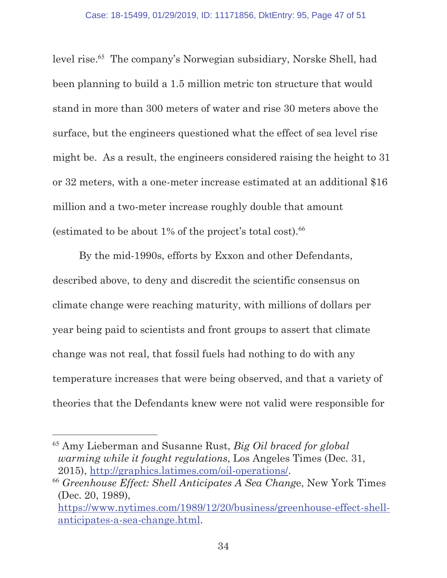level rise.<sup>65</sup> The company's Norwegian subsidiary, Norske Shell, had been planning to build a 1.5 million metric ton structure that would stand in more than 300 meters of water and rise 30 meters above the surface, but the engineers questioned what the effect of sea level rise might be. As a result, the engineers considered raising the height to 31 or 32 meters, with a one-meter increase estimated at an additional \$16 million and a two-meter increase roughly double that amount (estimated to be about  $1\%$  of the project's total cost).<sup>66</sup>

By the mid-1990s, efforts by Exxon and other Defendants, described above, to deny and discredit the scientific consensus on climate change were reaching maturity, with millions of dollars per year being paid to scientists and front groups to assert that climate change was not real, that fossil fuels had nothing to do with any temperature increases that were being observed, and that a variety of theories that the Defendants knew were not valid were responsible for

l <sup>65</sup> Amy Lieberman and Susanne Rust, *Big Oil braced for global warming while it fought regulations*, Los Angeles Times (Dec. 31, 2015), http://graphics.latimes.com/oil-operations/.

<sup>66</sup> *Greenhouse Effect: Shell Anticipates A Sea Chang*e, New York Times (Dec. 20, 1989),

https://www.nytimes.com/1989/12/20/business/greenhouse-effect-shellanticipates-a-sea-change.html.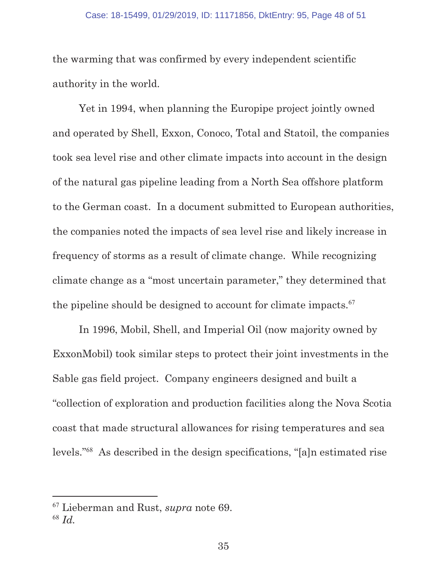the warming that was confirmed by every independent scientific authority in the world.

Yet in 1994, when planning the Europipe project jointly owned and operated by Shell, Exxon, Conoco, Total and Statoil, the companies took sea level rise and other climate impacts into account in the design of the natural gas pipeline leading from a North Sea offshore platform to the German coast. In a document submitted to European authorities, the companies noted the impacts of sea level rise and likely increase in frequency of storms as a result of climate change. While recognizing climate change as a "most uncertain parameter," they determined that the pipeline should be designed to account for climate impacts.<sup>67</sup>

In 1996, Mobil, Shell, and Imperial Oil (now majority owned by ExxonMobil) took similar steps to protect their joint investments in the Sable gas field project. Company engineers designed and built a "collection of exploration and production facilities along the Nova Scotia coast that made structural allowances for rising temperatures and sea levels."<sup>68</sup> As described in the design specifications, "[a]n estimated rise

<sup>67</sup> Lieberman and Rust, *supra* note 69.

<sup>68</sup> *Id.*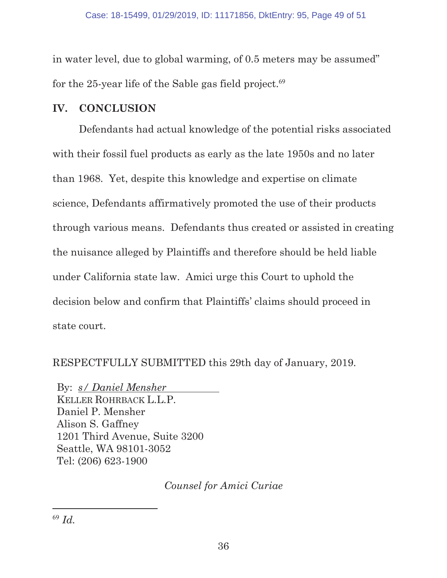in water level, due to global warming, of 0.5 meters may be assumed" for the 25-year life of the Sable gas field project. $^{69}$ 

#### **IV. CONCLUSION**

Defendants had actual knowledge of the potential risks associated with their fossil fuel products as early as the late 1950s and no later than 1968. Yet, despite this knowledge and expertise on climate science, Defendants affirmatively promoted the use of their products through various means. Defendants thus created or assisted in creating the nuisance alleged by Plaintiffs and therefore should be held liable under California state law. Amici urge this Court to uphold the decision below and confirm that Plaintiffs' claims should proceed in state court.

RESPECTFULLY SUBMITTED this 29th day of January, 2019.

By: *s/ Daniel Mensher* KELLER ROHRBACK L.L.P. Daniel P. Mensher Alison S. Gaffney 1201 Third Avenue, Suite 3200 Seattle, WA 98101-3052 Tel: (206) 623-1900

*Counsel for Amici Curiae*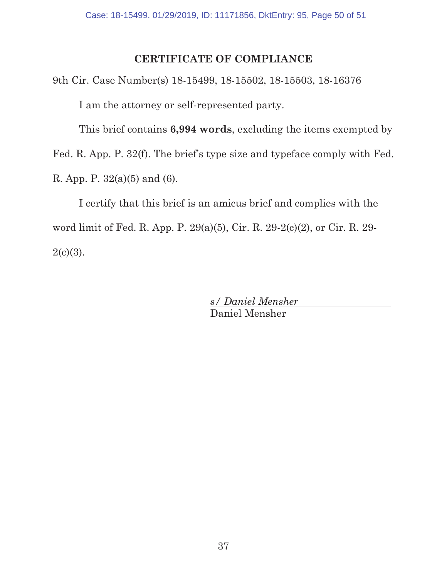## **CERTIFICATE OF COMPLIANCE**

9th Cir. Case Number(s) 18-15499, 18-15502, 18-15503, 18-16376 I am the attorney or self-represented party.

This brief contains **6,994 words**, excluding the items exempted by

Fed. R. App. P. 32(f). The brief's type size and typeface comply with Fed.

R. App. P. 32(a)(5) and (6).

I certify that this brief is an amicus brief and complies with the word limit of Fed. R. App. P. 29(a)(5), Cir. R. 29-2(c)(2), or Cir. R. 29-  $2(c)(3)$ .

> *s/ Daniel Mensher*  Daniel Mensher